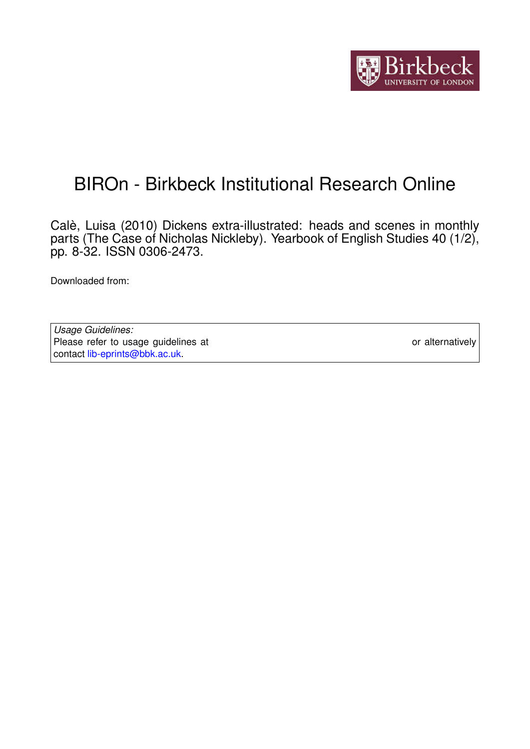

# BIROn - Birkbeck Institutional Research Online

Calè, Luisa (2010) Dickens extra-illustrated: heads and scenes in monthly parts (The Case of Nicholas Nickleby). Yearbook of English Studies 40 (1/2), pp. 8-32. ISSN 0306-2473.

Downloaded from: <https://eprints.bbk.ac.uk/id/eprint/5252/>

*Usage Guidelines:* Please refer to usage guidelines at <https://eprints.bbk.ac.uk/policies.html> or alternatively contact [lib-eprints@bbk.ac.uk.](mailto:lib-eprints@bbk.ac.uk)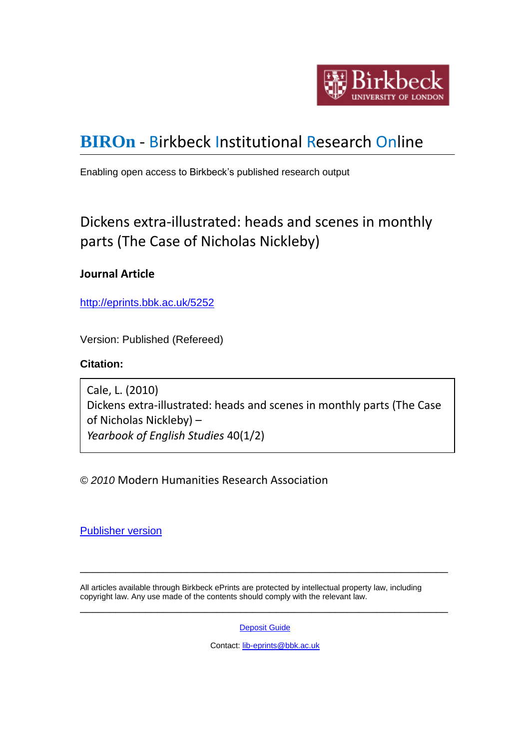

## **[BIROn](http://eprints.bbk.ac.uk/irstats.cgi)** - Birkbeck Institutional Research Online

Enabling open access to Birkbeck's published research output

## Dickens extra-illustrated: heads and scenes in monthly parts (The Case of Nicholas Nickleby)

## **Journal Article**

<http://eprints.bbk.ac.uk/5252>

Version: Published (Refereed)

## **Citation:**

Cale, L. (2010) Dickens extra-illustrated: heads and scenes in monthly parts (The Case of Nicholas Nickleby) – *Yearbook of English Studies* 40(1/2)

*© 2010* Modern Humanities Research Association

[Publisher version](http://www.mhra.org.uk/Publications/Journals/yes.html)

All articles available through Birkbeck ePrints are protected by intellectual property law, including copyright law. Any use made of the contents should comply with the relevant law. \_\_\_\_\_\_\_\_\_\_\_\_\_\_\_\_\_\_\_\_\_\_\_\_\_\_\_\_\_\_\_\_\_\_\_\_\_\_\_\_\_\_\_\_\_\_\_\_\_\_\_\_\_\_\_\_\_\_\_\_\_\_

**[Deposit Guide](http://eprints.bbk.ac.uk/deposit_guide.html)** 

\_\_\_\_\_\_\_\_\_\_\_\_\_\_\_\_\_\_\_\_\_\_\_\_\_\_\_\_\_\_\_\_\_\_\_\_\_\_\_\_\_\_\_\_\_\_\_\_\_\_\_\_\_\_\_\_\_\_\_\_\_\_

Contact: [lib-eprints@bbk.ac.uk](mailto:lib-eprints@bbk.ac.uk)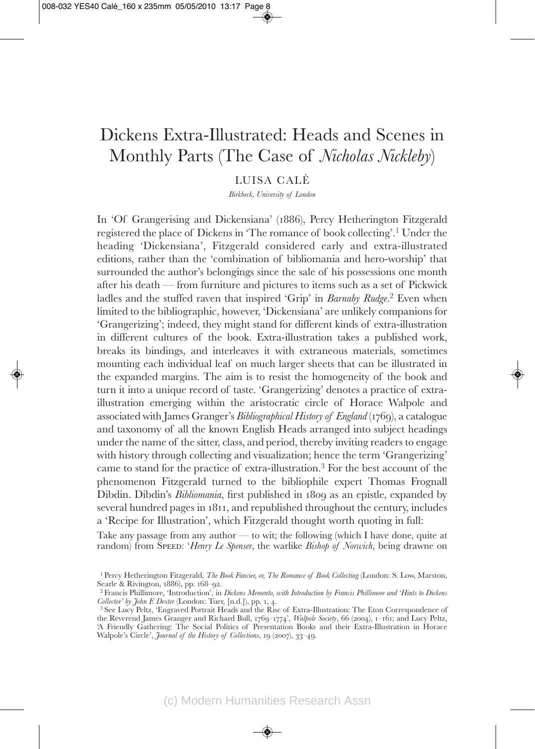## Dickens Extra-Illustrated: Heads and Scenes in Monthly Parts (The Case of *Nicholas Nickleby*)

#### LUISA CALÈ

*Birkbeck, University of London*

In 'Of Grangerising and Dickensiana' (1886), Percy Hetherington Fitzgerald registered the place of Dickens in 'The romance of book collecting'.1 Under the heading 'Dickensiana', Fitzgerald considered early and extra-illustrated editions, rather than the 'combination of bibliomania and hero-worship' that surrounded the author's belongings since the sale of his possessions one month after his death — from furniture and pictures to items such as a set of Pickwick ladles and the stuffed raven that inspired 'Grip' in *Barnaby Rudge*. <sup>2</sup> Even when limited to the bibliographic, however, 'Dickensiana' are unlikely companions for 'Grangerizing'; indeed, they might stand for different kinds of extra-illustration in different cultures of the book. Extra-illustration takes a published work, breaks its bindings, and interleaves it with extraneous materials, sometimes mounting each individual leaf on much larger sheets that can be illustrated in the expanded margins. The aim is to resist the homogeneity of the book and turn it into a unique record of taste. 'Grangerizing' denotes a practice of extraillustration emerging within the aristocratic circle of Horace Walpole and associated with James Granger's *Bibliographical History of England* (1769), a catalogue and taxonomy of all the known English Heads arranged into subject headings under the name of the sitter, class, and period, thereby inviting readers to engage with history through collecting and visualization; hence the term 'Grangerizing' came to stand for the practice of extra-illustration.3 For the best account of the phenomenon Fitzgerald turned to the bibliophile expert Thomas Frognall Dibdin. Dibdin's *Bibliomania*, first published in 1809 as an epistle, expanded by several hundred pages in 1811, and republished throughout the century, includes a 'Recipe for Illustration', which Fitzgerald thought worth quoting in full:

Take any passage from any author — to wit; the following (which I have done, quite at random) from Speed: '*Henry Le Spenser*, the warlike *Bishop of Norwich*, being drawne on

<sup>1</sup> Percy Hetherington Fitzgerald, *The Book Fancier, or, The Romance of Book Collecting* (London: S. Low, Marston,

<sup>&</sup>lt;sup>2</sup> Francis Phillimore, 'Introduction', in *Dickens Memento, with Introduction by Francis Phillimore and 'Hints to Dickens*<br>Collector' by John F. Dexter (London: Tuer, [n.d.]), pp. 1, 4.

<sup>&</sup>lt;sup>3</sup> See Lucy Peltz, 'Engraved Portrait Heads and the Rise of Extra-Illustration: The Eton Correspondence of the Reverend James Granger and Richard Bull, 1769–1774', *Walpole Society*, 66 (2004), 1–161; and Lucy Peltz, 'A Friendly Gathering: The Social Politics of Presentation Books and their Extra-Illustration in Horace Walpole's Circle', *Journal of the History of Collections*, 19 (2007), 33–49.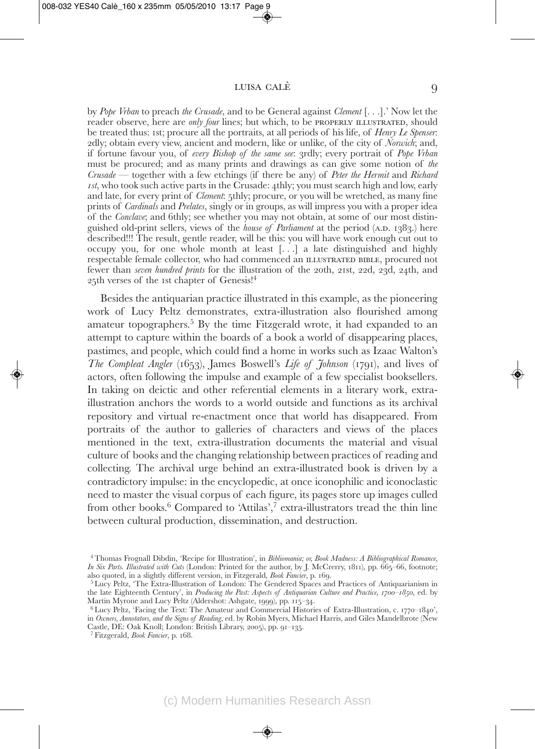by *Pope Vrban* to preach *the Crusade*, and to be General against *Clement* [. . .].' Now let the reader observe, here are *only four* lines; but which, to be properly ILLUSTRATED, should be treated thus: 1st; procure all the portraits, at all periods of his life, of *Henry Le Spenser*: 2dly; obtain every view, ancient and modern, like or unlike, of the city of *Norwich*; and, if fortune favour you, of *every Bishop of the same see*: 3rdly; every portrait of *Pope Vrban* must be procured; and as many prints and drawings as can give some notion of *the Crusade* — together with a few etchings (if there be any) of *Peter the Hermit* and *Richard 1st*, who took such active parts in the Crusade: 4thly; you must search high and low, early and late, for every print of *Clement*: 5thly; procure, or you will be wretched, as many fine prints of *Cardinals* and *Prelates*, singly or in groups, as will impress you with a proper idea of the *Conclave*; and 6thly; see whether you may not obtain, at some of our most distinguished old-print sellers, views of the *house of Parliament* at the period (a.d. 1383.) here described!!! The result, gentle reader, will be this: you will have work enough cut out to occupy you, for one whole month at least [. . .] a late distinguished and highly respectable female collector, who had commenced an ILLUSTRATED BIBLE, procured not fewer than *seven hundred prints* for the illustration of the 20th, 21st, 22d, 23d, 24th, and 25th verses of the 1st chapter of Genesis!4

Besides the antiquarian practice illustrated in this example, as the pioneering work of Lucy Peltz demonstrates, extra-illustration also flourished among amateur topographers.5 By the time Fitzgerald wrote, it had expanded to an attempt to capture within the boards of a book a world of disappearing places, pastimes, and people, which could find a home in works such as Izaac Walton's *The Compleat Angler* (1653), James Boswell's *Life of Johnson* (1791), and lives of actors, often following the impulse and example of a few specialist booksellers. In taking on deictic and other referential elements in a literary work, extra illustration anchors the words to a world outside and functions as its archival repository and virtual re-enactment once that world has disappeared. From portraits of the author to galleries of characters and views of the places mentioned in the text, extra-illustration documents the material and visual culture of books and the changing relationship between practices of reading and collecting. The archival urge behind an extra-illustrated book is driven by a contradictory impulse: in the encyclopedic, at once iconophilic and iconoclastic need to master the visual corpus of each figure, its pages store up images culled from other books.<sup>6</sup> Compared to 'Attilas',<sup>7</sup> extra-illustrators tread the thin line between cultural production, dissemination, and destruction.

<sup>4</sup> Thomas Frognall Dibdin, 'Recipe for Illustration', in *Bibliomania; or, Book Madness: A Bibliographical Romance, In Six Parts. Illustrated with Cuts* (London: Printed for the author, by J. McCrerry, 1811), pp. 665–66, footnote;

<sup>&</sup>lt;sup>5</sup> Lucy Peltz, 'The Extra-Illustration of London: The Gendered Spaces and Practices of Antiquarianism in the late Eighteenth Century', in *Producing the Past: Aspects of Antiquarian Culture and Practice, 1700–1850*, ed. by Martin Myrone and Lucy Peltz (Aldershot: Ashgate, 1999), pp. 115–34.

 $6$  Lucy Peltz, 'Facing the Text: The Amateur and Commercial Histories of Extra-Illustration, c. 1770–1840', in *Owners, Annotators, and the Signs of Reading*, ed. by Robin Myers, Michael Harris, and Giles Mandelbrote (New Castle, DE: Oak Knoll; London: British Library, 2005), pp. 91–135. <sup>7</sup> Fitzgerald, *Book Fancier*, p. 168.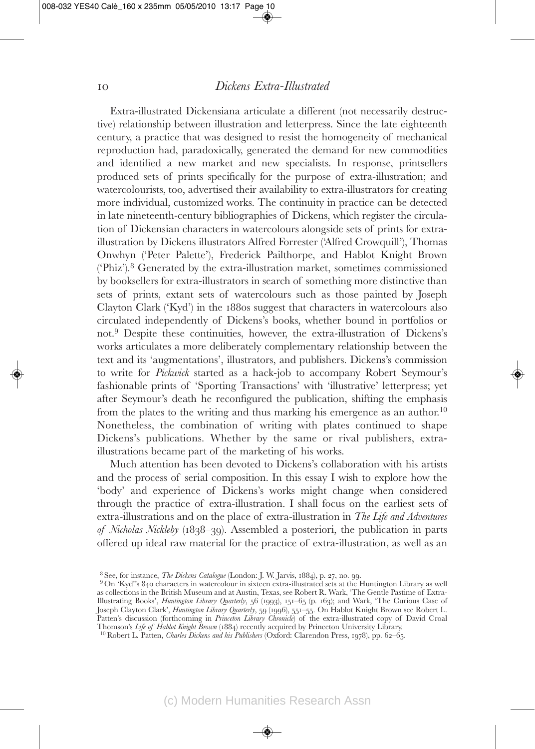Extra-illustrated Dickensiana articulate a different (not necessarily destructive) relationship between illustration and letterpress. Since the late eighteenth century, a practice that was designed to resist the homogeneity of mechanical reproduction had, paradoxically, generated the demand for new commodities and identified a new market and new specialists. In response, printsellers produced sets of prints specifically for the purpose of extra-illustration; and watercolourists, too, advertised their availability to extra-illustrators for creating more individual, customized works. The continuity in practice can be detected in late nineteenth-century bibliographies of Dickens, which register the circulation of Dickensian characters in watercolours alongside sets of prints for extraillustration by Dickens illustrators Alfred Forrester ('Alfred Crowquill'), Thomas Onwhyn ('Peter Palette'), Frederick Pailthorpe, and Hablot Knight Brown ('Phiz').8 Generated by the extra-illustration market, sometimes commissioned by booksellers for extra-illustrators in search of something more distinctive than sets of prints, extant sets of watercolours such as those painted by Joseph Clayton Clark ('Kyd') in the 1880s suggest that characters in watercolours also circulated independently of Dickens's books, whether bound in portfolios or not.9 Despite these continuities, however, the extra-illustration of Dickens's works articulates a more deliberately complementary relationship between the text and its 'augmentations', illustrators, and publishers. Dickens's commission to write for *Pickwick* started as a hack-job to accompany Robert Seymour's fashionable prints of 'Sporting Transactions' with 'illustrative' letterpress; yet after Seymour's death he reconfigured the publication, shifting the emphasis from the plates to the writing and thus marking his emergence as an author.<sup>10</sup> Nonetheless, the combination of writing with plates continued to shape Dickens's publications. Whether by the same or rival publishers, extra illustrations became part of the marketing of his works.

Much attention has been devoted to Dickens's collaboration with his artists and the process of serial composition. In this essay I wish to explore how the 'body' and experience of Dickens's works might change when considered through the practice of extra-illustration. I shall focus on the earliest sets of extra-illustrations and on the place of extra-illustration in *The Life and Adventures of Nicholas Nickleby* (1838–39). Assembled a posteriori, the publication in parts offered up ideal raw material for the practice of extra-illustration, as well as an

<sup>&</sup>lt;sup>8</sup> See, for instance, *The Dickens Catalogue* (London: J. W. Jarvis, 1884), p. 27, no. 99.<br><sup>9</sup> On 'Kyd''s 840 characters in watercolour in sixteen extra-illustrated sets at the Huntington Library as well as collections in the British Museum and at Austin, Texas, see Robert R. Wark, 'The Gentle Pastime of Extra-Illustrating Books', *Huntington Library Quarterly*, 56 (1993), 151–65 (p. 163); and Wark, 'The Curious Case of Joseph Clayton Clark', *Huntington Library Quarterly*, 59 (1996), 551–55. On Hablot Knight Brown see Robert L. Patten's discussion (forthcoming in *Princeton Library Chronicle*) of the extra-illustrated copy of David Croal Thomson's *Life of Hablot Knight Brown* (1884) recently acquired by Princeton University Library. <sup>10</sup> Robert L. Patten, *Charles Dickens and his Publishers* (Oxford: Clarendon Press, 1978), pp. 62–65.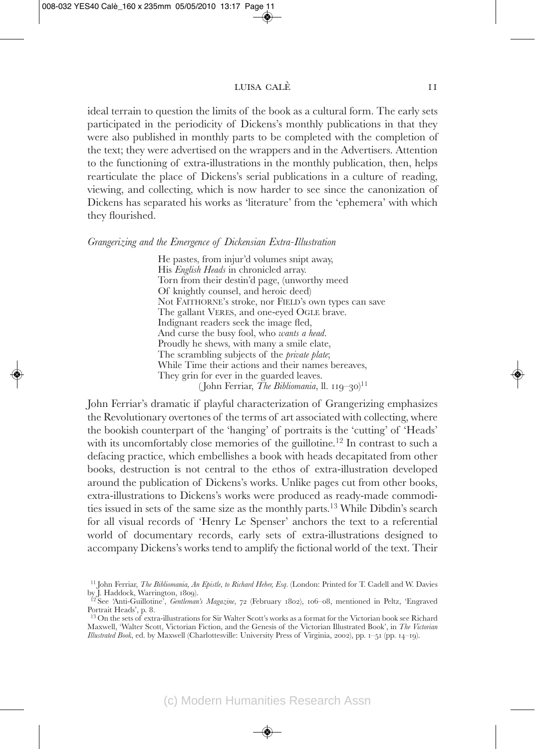ideal terrain to question the limits of the book as a cultural form. The early sets participated in the periodicity of Dickens's monthly publications in that they were also published in monthly parts to be completed with the completion of the text; they were advertised on the wrappers and in the Advertisers. Attention to the functioning of extra-illustrations in the monthly publication, then, helps rearticulate the place of Dickens's serial publications in a culture of reading, viewing, and collecting, which is now harder to see since the canonization of Dickens has separated his works as 'literature' from the 'ephemera' with which they flourished.

#### *Grangerizing and the Emergence of Dickensian Extra-Illustration*

He pastes, from injur'd volumes snipt away, His *English Heads* in chronicled array. Torn from their destin'd page, (unworthy meed Of knightly counsel, and heroic deed) Not FAITHORNE's stroke, nor FIELD's own types can save The gallant VERES, and one-eyed OGLE brave. Indignant readers seek the image fled, And curse the busy fool, who *wants a head*. Proudly he shews, with many a smile elate, The scrambling subjects of the *private plate*; While Time their actions and their names bereaves, They grin for ever in the guarded leaves. ( John Ferriar, *The Bibliomania*, ll. 119–30) 11

John Ferriar's dramatic if playful characterization of Grangerizing emphasizes the Revolutionary overtones of the terms of art associated with collecting, where the bookish counterpart of the 'hanging' of portraits is the 'cutting' of 'Heads' with its uncomfortably close memories of the guillotine.<sup>12</sup> In contrast to such a defacing practice, which embellishes a book with heads decapitated from other books, destruction is not central to the ethos of extra-illustration developed around the publication of Dickens's works. Unlike pages cut from other books, extra-illustrations to Dickens's works were produced as ready-made commodities issued in sets of the same size as the monthly parts.13 While Dibdin's search for all visual records of 'Henry Le Spenser' anchors the text to a referential world of documentary records, early sets of extra-illustrations designed to accompany Dickens's works tend to amplify the fictional world of the text. Their

<sup>11</sup> John Ferriar, *The Bibliomania, An Epistle, to Richard Heber, Esq.* (London: Printed for T. Cadell and W. Davies

by J. Haddock, Warrington, 1809).<br><sup>12</sup> See 'Anti-Guillotine', *Gentleman's Magazine*, 72 (February 1802), 106–08, mentioned in Peltz, 'Engraved<br>Portrait Heads', p. 8.

<sup>&</sup>lt;sup>13</sup> On the sets of extra-illustrations for Sir Walter Scott's works as a format for the Victorian book see Richard Maxwell, 'Walter Scott, Victorian Fiction, and the Genesis of the Victorian Illustrated Book', in *The Victorian Illustrated Book*, ed. by Maxwell (Charlottesville: University Press of Virginia, 2002), pp. 1–51 (pp. 14–19).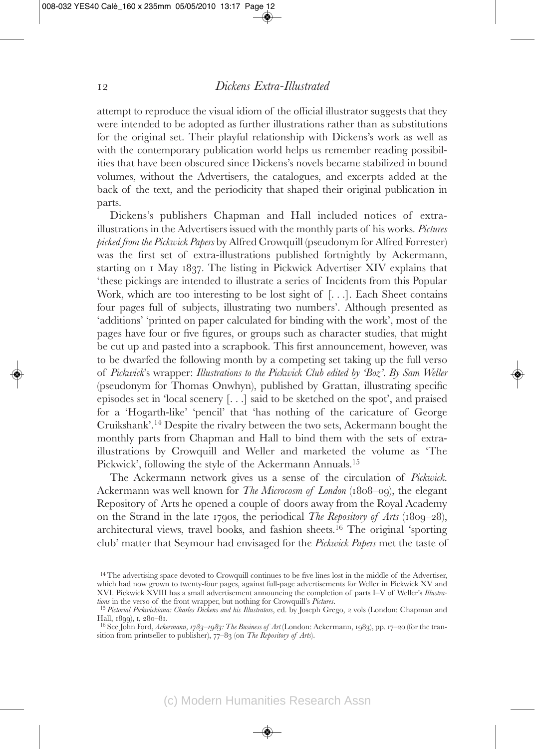attempt to reproduce the visual idiom of the official illustrator suggests that they were intended to be adopted as further illustrations rather than as substitutions for the original set. Their playful relationship with Dickens's work as well as with the contemporary publication world helps us remember reading possibilities that have been obscured since Dickens's novels became stabilized in bound volumes, without the Advertisers, the catalogues, and excerpts added at the back of the text, and the periodicity that shaped their original publication in parts.

Dickens's publishers Chapman and Hall included notices of extra illustrations in the Advertisers issued with the monthly parts of his works. *Pictures picked from the Pickwick Papers* by Alfred Crowquill (pseudonym for Alfred Forrester) was the first set of extra-illustrations published fortnightly by Ackermann, starting on 1 May 1837. The listing in Pickwick Advertiser XIV explains that 'these pickings are intended to illustrate a series of Incidents from this Popular Work, which are too interesting to be lost sight of [. . .]. Each Sheet contains four pages full of subjects, illustrating two numbers'. Although presented as 'additions' 'printed on paper calculated for binding with the work', most of the pages have four or five figures, or groups such as character studies, that might be cut up and pasted into a scrapbook. This first announcement, however, was to be dwarfed the following month by a competing set taking up the full verso of *Pickwick*'s wrapper: *Illustrations to the Pickwick Club edited by 'Boz'. By Sam Weller* (pseudonym for Thomas Onwhyn), published by Grattan, illustrating specific episodes set in 'local scenery [. . .] said to be sketched on the spot', and praised for a 'Hogarth-like' 'pencil' that 'has nothing of the caricature of George Cruikshank'.14 Despite the rivalry between the two sets, Ackermann bought the monthly parts from Chapman and Hall to bind them with the sets of extra illustrations by Crowquill and Weller and marketed the volume as 'The Pickwick', following the style of the Ackermann Annuals.<sup>15</sup>

The Ackermann network gives us a sense of the circulation of *Pickwick*. Ackermann was well known for *The Microcosm of London* (1808–09), the elegant Repository of Arts he opened a couple of doors away from the Royal Academy on the Strand in the late 1790s, the periodical *The Repository of Arts* (1809–28), architectural views, travel books, and fashion sheets.16 The original 'sporting club' matter that Seymour had envisaged for the *Pickwick Papers* met the taste of

<sup>&</sup>lt;sup>14</sup> The advertising space devoted to Crowquill continues to be five lines lost in the middle of the Advertiser, which had now grown to twenty-four pages, against full-page advertisements for Weller in Pickwick XV and XVI. Pickwick XVIII has a small advertisement announcing the completion of parts I–V of Weller's *Illustra-*

<sup>&</sup>lt;sup>15</sup> *Pictorial Pickwickiana: Charles Dickens and his Illustrators*, ed. by Joseph Grego, 2 vols (London: Chapman and Hall, 1899), 1, 280–81.

<sup>&</sup>lt;sup>16</sup> See John Ford, *Ackermann, 1783–1983*: The Business of Art (London: Ackermann, 1983), pp. 17–20 (for the transition from printseller to publisher), 77–83 (on *The Repository of Arts*).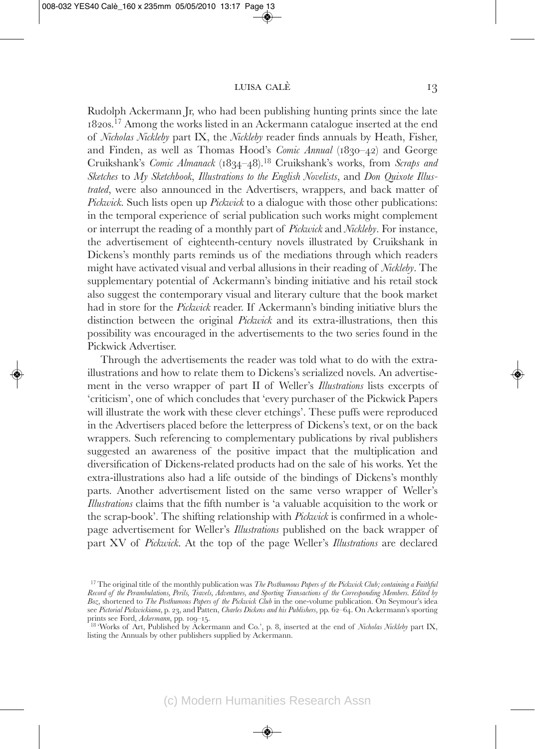Rudolph Ackermann Jr, who had been publishing hunting prints since the late 1820s.17 Among the works listed in an Ackermann catalogue inserted at the end of *Nicholas Nickleby* part IX, the *Nickleby* reader finds annuals by Heath, Fisher, and Finden, as well as Thomas Hood's *Comic Annual* (1830–42) and George Cruikshank's *Comic Almanack* (1834–48).18 Cruikshank's works, from *Scraps and Sketches* to *My Sketchbook*, *Illustrations to the English Novelists*, and *Don Quixote Illustrated*, were also announced in the Advertisers, wrappers, and back matter of *Pickwick*. Such lists open up *Pickwick* to a dialogue with those other publications: in the temporal experience of serial publication such works might complement or interrupt the reading of a monthly part of *Pickwick* and *Nickleby*. For instance, the advertisement of eighteenth-century novels illustrated by Cruikshank in Dickens's monthly parts reminds us of the mediations through which readers might have activated visual and verbal allusions in their reading of *Nickleby*. The supplementary potential of Ackermann's binding initiative and his retail stock also suggest the contemporary visual and literary culture that the book market had in store for the *Pickwick* reader. If Ackermann's binding initiative blurs the distinction between the original *Pickwick* and its extra-illustrations, then this possibility was encouraged in the advertisements to the two series found in the Pickwick Advertiser.

Through the advertisements the reader was told what to do with the extraillustrations and how to relate them to Dickens's serialized novels. An advertisement in the verso wrapper of part II of Weller's *Illustrations* lists excerpts of 'criticism', one of which concludes that 'every purchaser of the Pickwick Papers will illustrate the work with these clever etchings'. These puffs were reproduced in the Advertisers placed before the letterpress of Dickens's text, or on the back wrappers. Such referencing to complementary publications by rival publishers suggested an awareness of the positive impact that the multiplication and diversification of Dickens-related products had on the sale of his works. Yet the extra-illustrations also had a life outside of the bindings of Dickens's monthly parts. Another advertisement listed on the same verso wrapper of Weller's *Illustrations* claims that the fifth number is 'a valuable acquisition to the work or the scrap-book'. The shifting relationship with *Pickwick* is confirmed in a wholepage advertisement for Weller's *Illustrations* published on the back wrapper of part XV of *Pickwick*. At the top of the page Weller's *Illustrations* are declared

<sup>&</sup>lt;sup>17</sup> The original title of the monthly publication was *The Posthumous Papers of the Pickwick Club; containing a Faithful Record of the Perambulations, Perils, Travels, Adventures, and Sporting Transactions of the Corresponding Members. Edited by Boz*, shortened to *The Posthumous Papers of the Pickwick Club* in the one-volume publication. On Seymour's idea see Pictorial Pickwickiana, p. 23, and Patten, *Charles Dickens and his Publishers*, pp. 62–64. On Ackermann's sporting<br>prints see Ford, Ackermann, pp. 109–15.

<sup>&</sup>lt;sup>18</sup> 'Works of Art, Published by Ackermann and Co.', p. 8, inserted at the end of *Nicholas Nickleby* part IX, listing the Annuals by other publishers supplied by Ackermann.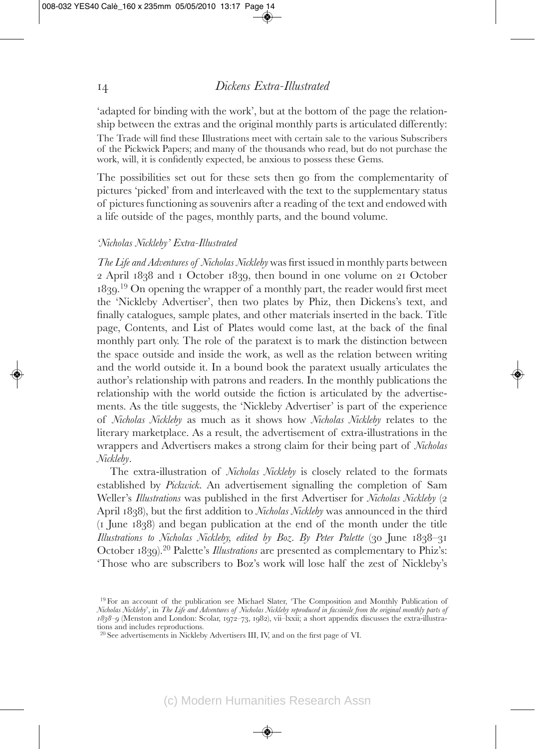'adapted for binding with the work', but at the bottom of the page the relationship between the extras and the original monthly parts is articulated differently: The Trade will find these Illustrations meet with certain sale to the various Subscribers of the Pickwick Papers; and many of the thousands who read, but do not purchase the work, will, it is confidently expected, be anxious to possess these Gems.

The possibilities set out for these sets then go from the complementarity of pictures 'picked' from and interleaved with the text to the supplementary status of pictures functioning as souvenirs after a reading of the text and endowed with a life outside of the pages, monthly parts, and the bound volume.

#### *'Nicholas Nickleby' Extra-Illustrated*

*The Life and Adventures of Nicholas Nickleby* was first issued in monthly parts between 2 April 1838 and 1 October 1839, then bound in one volume on 21 October 1839. <sup>19</sup> On opening the wrapper of a monthly part, the reader would first meet the 'Nickleby Advertiser', then two plates by Phiz, then Dickens's text, and finally catalogues, sample plates, and other materials inserted in the back. Title page, Contents, and List of Plates would come last, at the back of the final monthly part only. The role of the paratext is to mark the distinction between the space outside and inside the work, as well as the relation between writing and the world outside it. In a bound book the paratext usually articulates the author's relationship with patrons and readers. In the monthly publications the relationship with the world outside the fiction is articulated by the advertisements. As the title suggests, the 'Nickleby Advertiser' is part of the experience of *Nicholas Nickleby* as much as it shows how *Nicholas Nickleby* relates to the literary marketplace. As a result, the advertisement of extra-illustrations in the wrappers and Advertisers makes a strong claim for their being part of *Nicholas Nickleby*.

The extra-illustration of *Nicholas Nickleby* is closely related to the formats established by *Pickwick*. An advertisement signalling the completion of Sam Weller's *Illustrations* was published in the first Advertiser for *Nicholas Nickleby* (2 April 1838), but the first addition to *Nicholas Nickleby* was announced in the third  $(1)$  June  $1838$ ) and began publication at the end of the month under the title *Illustrations to Nicholas Nickleby, edited by Boz. By Peter Palette* (30 June 1838–31 October 1839).20 Palette's *Illustrations* are presented as complementary to Phiz's: 'Those who are subscribers to Boz's work will lose half the zest of Nickleby's

<sup>19</sup> For an account of the publication see Michael Slater, 'The Composition and Monthly Publication of *Nicholas Nickleby*', in *The Life and Adventures of Nicholas Nickleby reproduced in facsimile from the original monthly parts of 1838–9* (Menston and London: Scolar, 1972–73, 1982), vii–lxxii; a short appendix discusses the extra-illustrations and includes reproductions.

<sup>20</sup> See advertisements in Nickleby Advertisers III, IV, and on the first page of VI.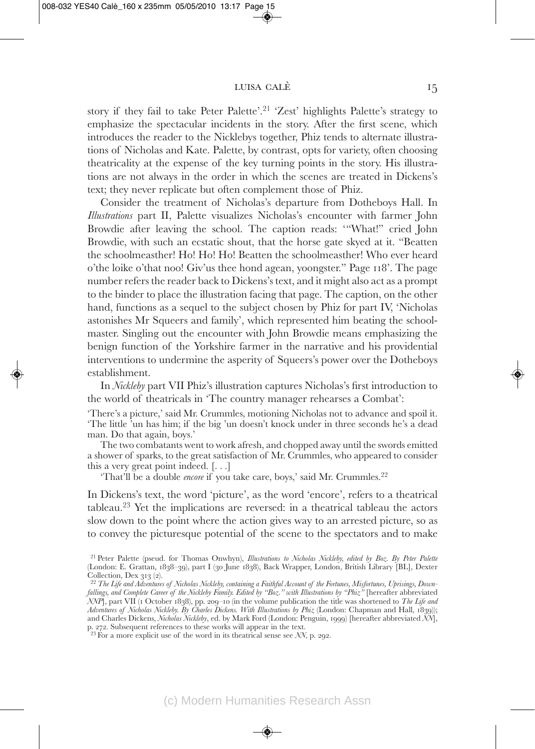story if they fail to take Peter Palette'.21 'Zest' highlights Palette's strategy to emphasize the spectacular incidents in the story. After the first scene, which introduces the reader to the Nicklebys together, Phiz tends to alternate illustrations of Nicholas and Kate. Palette, by contrast, opts for variety, often choosing theatricality at the expense of the key turning points in the story. His illustrations are not always in the order in which the scenes are treated in Dickens's text; they never replicate but often complement those of Phiz.

Consider the treatment of Nicholas's departure from Dotheboys Hall. In *Illustrations* part II, Palette visualizes Nicholas's encounter with farmer John Browdie after leaving the school. The caption reads: '"What!" cried John Browdie, with such an ecstatic shout, that the horse gate skyed at it. "Beatten the schoolmeasther! Ho! Ho! Ho! Beatten the schoolmeasther! Who ever heard o'the loike o'that noo! Giv'us thee hond agean, yoongster." Page 118'. The page number refers the reader back to Dickens's text, and it might also act as a prompt to the binder to place the illustration facing that page. The caption, on the other hand, functions as a sequel to the subject chosen by Phiz for part IV, 'Nicholas astonishes Mr Squeers and family', which represented him beating the schoolmaster. Singling out the encounter with John Browdie means emphasizing the benign function of the Yorkshire farmer in the narrative and his providential interventions to undermine the asperity of Squeers's power over the Dotheboys establishment.

In *Nickleby* part VII Phiz's illustration captures Nicholas's first introduction to the world of theatricals in 'The country manager rehearses a Combat':

'There's a picture,' said Mr. Crummles, motioning Nicholas not to advance and spoil it. 'The little 'un has him; if the big 'un doesn't knock under in three seconds he's a dead man. Do that again, boys.'

The two combatants went to work afresh, and chopped away until the swords emitted a shower of sparks, to the great satisfaction of Mr. Crummles, who appeared to consider this a very great point indeed. [. . .]

'That'll be a double *encore* if you take care, boys,' said Mr. Crummles.<sup>22</sup>

In Dickens's text, the word 'picture', as the word 'encore', refers to a theatrical tableau.<sup>23</sup> Yet the implications are reversed: in a theatrical tableau the actors slow down to the point where the action gives way to an arrested picture, so as to convey the picturesque potential of the scene to the spectators and to make

<sup>21</sup> Peter Palette (pseud. for Thomas Onwhyn), *Illustrations to Nicholas Nickleby, edited by Boz. By Peter Palette* (London: E. Grattan, 1838–39), part I (30 June 1838), Back Wrapper, London, British Library [BL], Dexter Collection, Dex 313 (2).<br><sup>22</sup> The Life and Adventures of Nicholas Nickleby, containing a Faithful Account of the Fortunes, Misfortunes, Uprisings, Down-

*fallings, and Complete Career of the Nickleby Family. Edited by "Boz." with Illustrations by "Phiz"* [hereafter abbreviated *NNP*], part VII (1 October 1838), pp. 209–10 (in the volume publication the title was shortened to *The Life and Adventures of Nicholas Nickleby. By Charles Dickens. With Illustrations by Phiz* (London: Chapman and Hall, 1839)); and Charles Dickens, *Nicholas Nickleby*, ed. by Mark Ford (London: Penguin, 1999) [hereafter abbreviated *NN*], p. 272. Subsequent references to these works will appear in the text. <sup>23</sup> For a more explicit use of the word in its theatrical sense see *NN*, p. 292.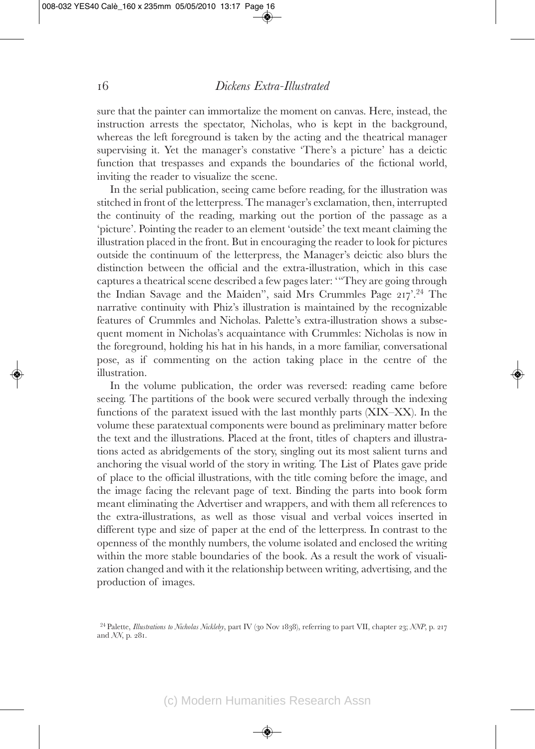sure that the painter can immortalize the moment on canvas. Here, instead, the instruction arrests the spectator, Nicholas, who is kept in the background, whereas the left foreground is taken by the acting and the theatrical manager supervising it. Yet the manager's constative 'There's a picture' has a deictic function that trespasses and expands the boundaries of the fictional world, inviting the reader to visualize the scene.

In the serial publication, seeing came before reading, for the illustration was stitched in front of the letterpress. The manager's exclamation, then, interrupted the continuity of the reading, marking out the portion of the passage as a 'picture'. Pointing the reader to an element 'outside' the text meant claiming the illustration placed in the front. But in encouraging the reader to look for pictures outside the continuum of the letterpress, the Manager's deictic also blurs the distinction between the official and the extra-illustration, which in this case captures a theatrical scene described a few pages later: '"They are going through the Indian Savage and the Maiden", said Mrs Crummles Page 217'.24 The narrative continuity with Phiz's illustration is maintained by the recognizable features of Crummles and Nicholas. Palette's extra-illustration shows a subsequent moment in Nicholas's acquaintance with Crummles: Nicholas is now in the foreground, holding his hat in his hands, in a more familiar, conversational pose, as if commenting on the action taking place in the centre of the illustration.

In the volume publication, the order was reversed: reading came before seeing. The partitions of the book were secured verbally through the indexing functions of the paratext issued with the last monthly parts (XIX–XX). In the volume these paratextual components were bound as preliminary matter before the text and the illustrations. Placed at the front, titles of chapters and illustrations acted as abridgements of the story, singling out its most salient turns and anchoring the visual world of the story in writing. The List of Plates gave pride of place to the official illustrations, with the title coming before the image, and the image facing the relevant page of text. Binding the parts into book form meant eliminating the Advertiser and wrappers, and with them all references to the extra-illustrations, as well as those visual and verbal voices inserted in different type and size of paper at the end of the letterpress. In contrast to the openness of the monthly numbers, the volume isolated and enclosed the writing within the more stable boundaries of the book. As a result the work of visualization changed and with it the relationship between writing, advertising, and the production of images.

<sup>24</sup> Palette, *Illustrations to Nicholas Nickleby*, part IV (30 Nov 1838), referring to part VII, chapter 23; *NNP*, p. 217 and *NN*, p. 281.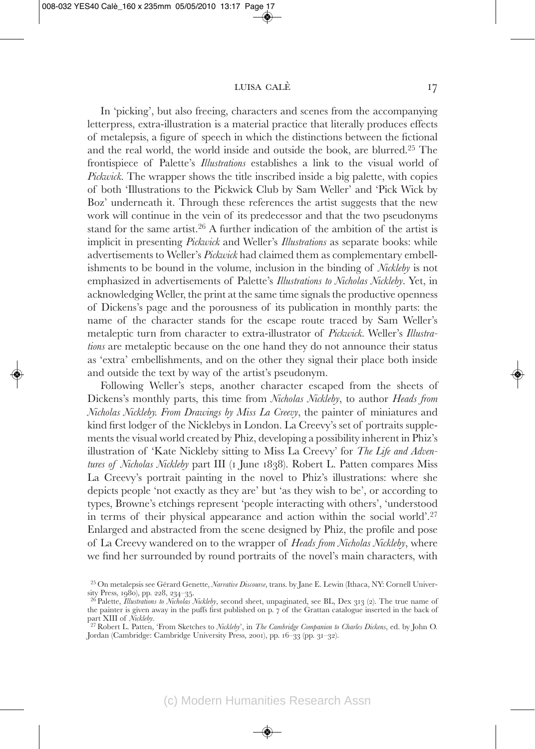In 'picking', but also freeing, characters and scenes from the accompanying letterpress, extra-illustration is a material practice that literally produces effects of metalepsis, a figure of speech in which the distinctions between the fictional and the real world, the world inside and outside the book, are blurred.25 The frontispiece of Palette's *Illustrations* establishes a link to the visual world of *Pickwick*. The wrapper shows the title inscribed inside a big palette, with copies of both 'Illustrations to the Pickwick Club by Sam Weller' and 'Pick Wick by Boz' underneath it. Through these references the artist suggests that the new work will continue in the vein of its predecessor and that the two pseudonyms stand for the same artist.26 A further indication of the ambition of the artist is implicit in presenting *Pickwick* and Weller's *Illustrations* as separate books: while advertisements to Weller's *Pickwick* had claimed them as complementary embellishments to be bound in the volume, inclusion in the binding of *Nickleby* is not emphasized in advertisements of Palette's *Illustrations to Nicholas Nickleby*. Yet, in acknowledging Weller, the print at the same time signals the productive openness of Dickens's page and the porousness of its publication in monthly parts: the name of the character stands for the escape route traced by Sam Weller's metaleptic turn from character to extra-illustrator of *Pickwick*. Weller's *Illustrations* are metaleptic because on the one hand they do not announce their status as 'extra' embellishments, and on the other they signal their place both inside and outside the text by way of the artist's pseudonym.

Following Weller's steps, another character escaped from the sheets of Dickens's monthly parts, this time from *Nicholas Nickleby*, to author *Heads from Nicholas Nickleby. From Drawings by Miss La Creevy*, the painter of miniatures and kind first lodger of the Nicklebys in London. La Creevy's set of portraits supplements the visual world created by Phiz, developing a possibility inherent in Phiz's illustration of 'Kate Nickleby sitting to Miss La Creevy' for *The Life and Adventures of Nicholas Nickleby* part III (1 June 1838). Robert L. Patten compares Miss La Creevy's portrait painting in the novel to Phiz's illustrations: where she depicts people 'not exactly as they are' but 'as they wish to be', or according to types, Browne's etchings represent 'people interacting with others', 'understood in terms of their physical appearance and action within the social world'.27 Enlarged and abstracted from the scene designed by Phiz, the profile and pose of La Creevy wandered on to the wrapper of *Heads from Nicholas Nickleby*, where we find her surrounded by round portraits of the novel's main characters, with

<sup>25</sup> On metalepsis see Gérard Genette, *Narrative Discourse*, trans. by Jane E. Lewin (Ithaca, NY: Cornell University Press, 1980), pp. 228, 234–35. <sup>26</sup> Palette, *Illustrations to Nicholas Nickleby*, second sheet, unpaginated, see BL, Dex <sup>313</sup> (2). The true name of

the painter is given away in the puffs first published on p. 7 of the Grattan catalogue inserted in the back of part XIII of *Nicklehy*.

<sup>&</sup>lt;sup>27</sup> Robert L. Patten, 'From Sketches to *Nickleby*', in *The Cambridge Companion to Charles Dickens*, ed. by John O. Jordan (Cambridge: Cambridge University Press, 2001), pp. 16–33 (pp. 31–32).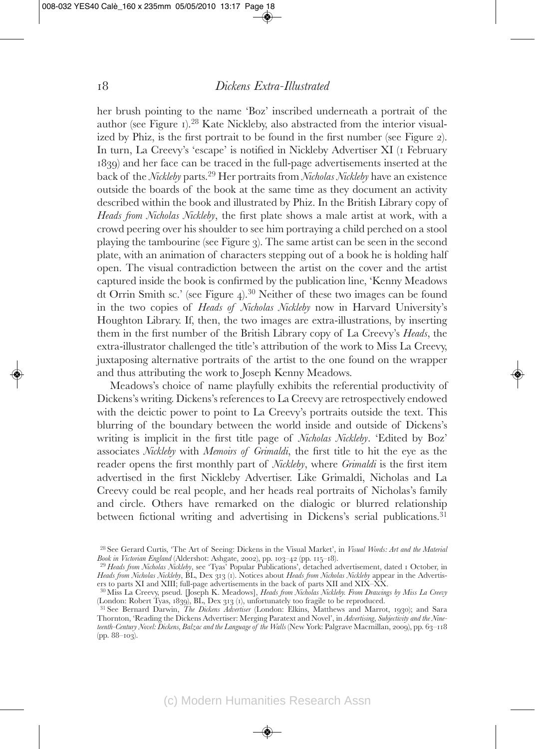her brush pointing to the name 'Boz' inscribed underneath a portrait of the author (see Figure 1).28 Kate Nickleby, also abstracted from the interior visualized by Phiz, is the first portrait to be found in the first number (see Figure 2). In turn, La Creevy's 'escape' is notified in Nickleby Advertiser XI (1 February 1839) and her face can be traced in the full-page advertisements inserted at the back of the *Nickleby* parts.29 Her portraits from *Nicholas Nickleby* have an existence outside the boards of the book at the same time as they document an activity described within the book and illustrated by Phiz. In the British Library copy of *Heads from Nicholas Nickleby*, the first plate shows a male artist at work, with a crowd peering over his shoulder to see him portraying a child perched on a stool playing the tambourine (see Figure 3). The same artist can be seen in the second plate, with an animation of characters stepping out of a book he is holding half open. The visual contradiction between the artist on the cover and the artist captured inside the book is confirmed by the publication line, 'Kenny Meadows dt Orrin Smith sc.' (see Figure 4).30 Neither of these two images can be found in the two copies of *Heads of Nicholas Nickleby* now in Harvard University's Houghton Library. If, then, the two images are extra-illustrations, by inserting them in the first number of the British Library copy of La Creevy's *Heads*, the extra-illustrator challenged the title's attribution of the work to Miss La Creevy, juxtaposing alternative portraits of the artist to the one found on the wrapper and thus attributing the work to Joseph Kenny Meadows.

Meadows's choice of name playfully exhibits the referential productivity of Dickens's writing. Dickens's references to La Creevy are retrospectively endowed with the deictic power to point to La Creevy's portraits outside the text. This blurring of the boundary between the world inside and outside of Dickens's writing is implicit in the first title page of *Nicholas Nickleby*. 'Edited by Boz' associates *Nickleby* with *Memoirs of Grimaldi*, the first title to hit the eye as the reader opens the first monthly part of *Nickleby*, where *Grimaldi* is the first item advertised in the first Nickleby Advertiser. Like Grimaldi, Nicholas and La Creevy could be real people, and her heads real portraits of Nicholas's family and circle. Others have remarked on the dialogic or blurred relationship between fictional writing and advertising in Dickens's serial publications.<sup>31</sup>

<sup>28</sup> See Gerard Curtis, 'The Art of Seeing: Dickens in the Visual Market', in *Visual Words: Art and the Material Book in Victorian England* (Aldershot: Ashgate, 2002), pp. 103–<sup>42</sup> (pp. 115–18). <sup>29</sup> *Heads from Nicholas Nickleby*, see 'Tyas' Popular Publications', detached advertisement, dated <sup>1</sup> October, in

*Heads from Nicholas Nickleby*, BL, Dex 313 (1). Notices about *Heads from Nicholas Nickleby* appear in the Advertisers to parts XI and XIII; full-page advertisements in the back of parts XII and XIX–XX. <sup>30</sup> Miss La Creevy, pseud. [Joseph K. Meadows], *Heads from Nicholas Nickleby. From Drawings by Miss La Creevy*

<sup>(</sup>London: Robert Tyas, 1839), BL, Dex <sup>313</sup> (1), unfortunately too fragile to be reproduced. <sup>31</sup> See Bernard Darwin, *The Dickens Advertiser* (London: Elkins, Matthews and Marrot, 1930); and Sara

Thornton, 'Reading the Dickens Advertiser: Merging Paratext and Novel', in *Advertising, Subjectivity and the Nineteenth-Century Novel: Dickens, Balzac and the Language of the Walls* (New York: Palgrave Macmillan, 2009), pp. 63–118 (pp. 88–103).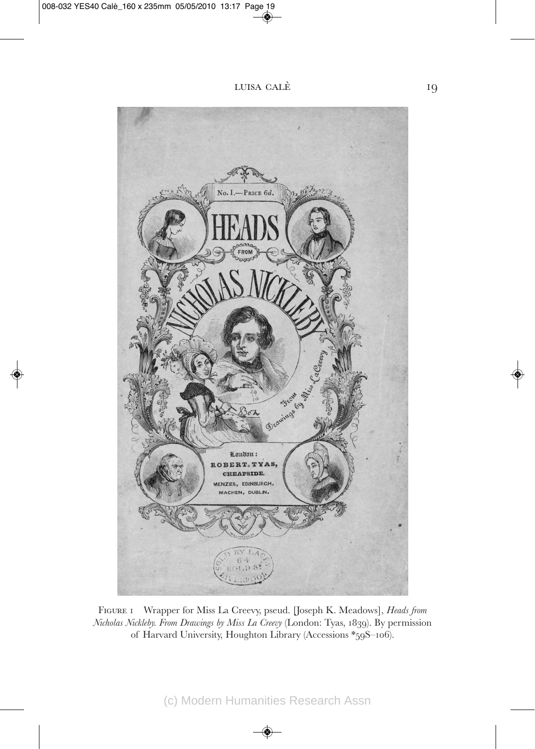

Figure 1 Wrapper for Miss La Creevy, pseud. [Joseph K. Meadows], *Heads from Nicholas Nickleby. From Drawings by Miss La Creevy* (London: Tyas, 1839). By permission of Harvard University, Houghton Library (Accessions \*59S–106).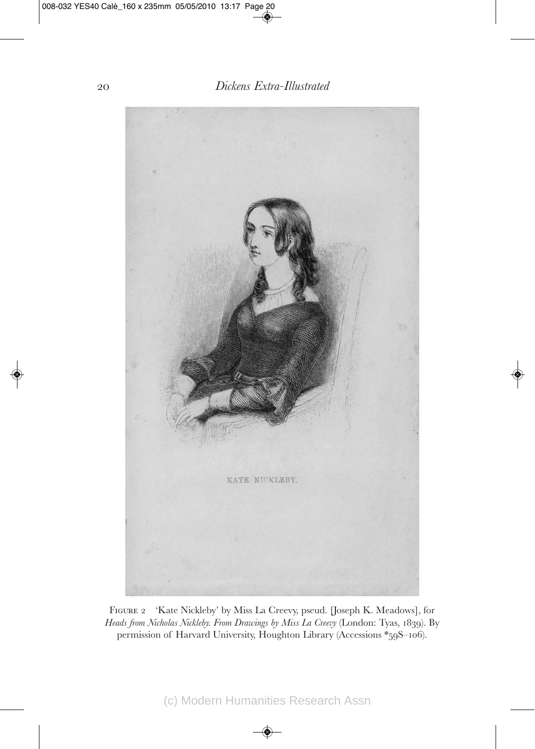

Figure 2 'Kate Nickleby' by Miss La Creevy, pseud. [Joseph K. Meadows], for *Heads from Nicholas Nickleby. From Drawings by Miss La Creevy* (London: Tyas, 1839). By permission of Harvard University, Houghton Library (Accessions \*59S–106).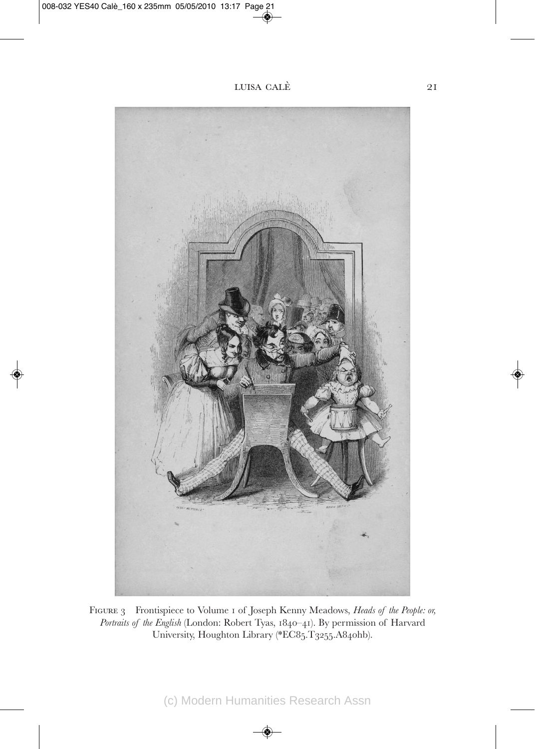

Figure 3 Frontispiece to Volume 1 of Joseph Kenny Meadows, *Heads of the People: or, Portraits of the English* (London: Robert Tyas, 1840–41). By permission of Harvard University, Houghton Library (\*EC85.T3255.A840hb).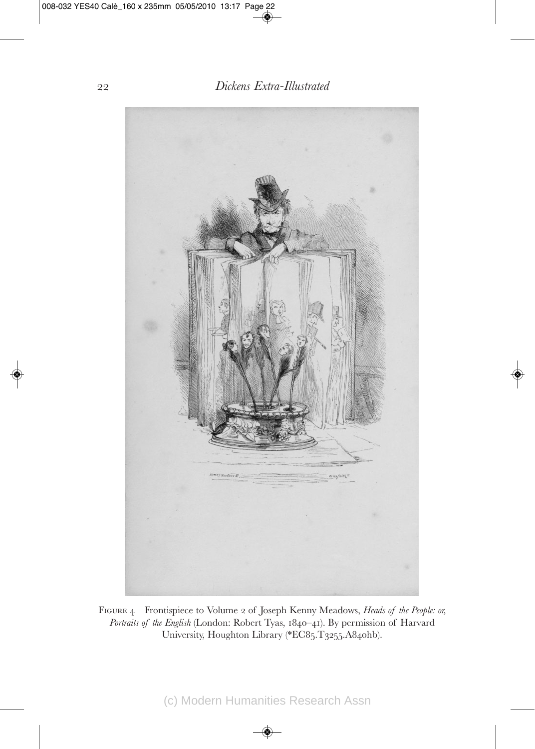

Figure 4 Frontispiece to Volume 2 of Joseph Kenny Meadows, *Heads of the People: or, Portraits of the English* (London: Robert Tyas, 1840–41). By permission of Harvard University, Houghton Library (\*EC85.T3255.A840hb).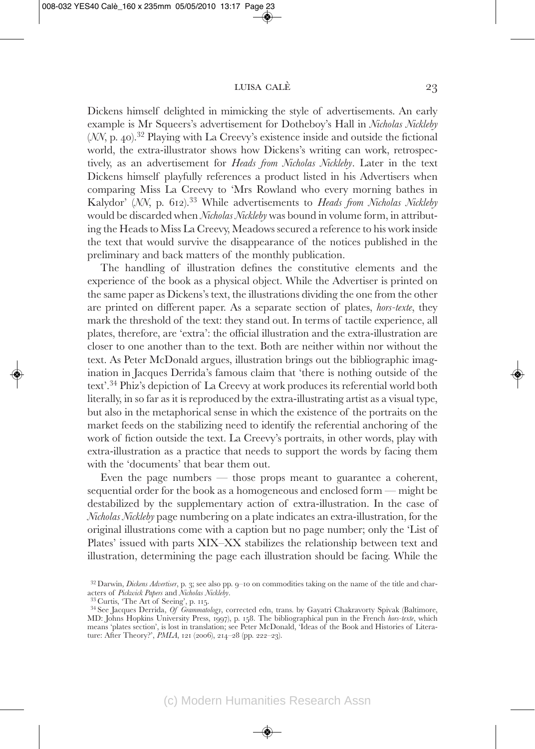Dickens himself delighted in mimicking the style of advertisements. An early example is Mr Squeers's advertisement for Dotheboy's Hall in *Nicholas Nickleby* (*NN*, p. 40).<sup>32</sup> Playing with La Creevy's existence inside and outside the fictional world, the extra-illustrator shows how Dickens's writing can work, retrospectively, as an advertisement for *Heads from Nicholas Nickleby*. Later in the text Dickens himself playfully references a product listed in his Advertisers when comparing Miss La Creevy to 'Mrs Rowland who every morning bathes in Kalydor' (*NN*, p. 612).33 While advertisements to *Heads from Nicholas Nickleby* would be discarded when *Nicholas Nickleby* was bound in volume form, in attributing the Heads to Miss La Creevy, Meadows secured a reference to his work inside the text that would survive the disappearance of the notices published in the preliminary and back matters of the monthly publication.

The handling of illustration defines the constitutive elements and the experience of the book as a physical object. While the Advertiser is printed on the same paper as Dickens's text, the illustrations dividing the one from the other are printed on different paper. As a separate section of plates, *hors-texte*, they mark the threshold of the text: they stand out. In terms of tactile experience, all plates, therefore, are 'extra': the official illustration and the extra-illustration are closer to one another than to the text. Both are neither within nor without the text. As Peter McDonald argues, illustration brings out the bibliographic imagination in Jacques Derrida's famous claim that 'there is nothing outside of the text'.34 Phiz's depiction of La Creevy at work produces its referential world both literally, in so far as it is reproduced by the extra-illustrating artist as a visual type, but also in the metaphorical sense in which the existence of the portraits on the market feeds on the stabilizing need to identify the referential anchoring of the work of fiction outside the text. La Creevy's portraits, in other words, play with extra-illustration as a practice that needs to support the words by facing them with the 'documents' that bear them out.

Even the page numbers — those props meant to guarantee a coherent, sequential order for the book as a homogeneous and enclosed form — might be destabilized by the supplementary action of extra-illustration. In the case of *Nicholas Nickleby* page numbering on a plate indicates an extra-illustration, for the original illustrations come with a caption but no page number; only the 'List of Plates' issued with parts XIX–XX stabilizes the relationship between text and illustration, determining the page each illustration should be facing. While the

<sup>&</sup>lt;sup>32</sup> Darwin, *Dickens Advertiser*, p. 3; see also pp. 9–10 on commodities taking on the name of the title and characters of *Pickwick Papers* and *Nicholas Nicklehy*.

<sup>&</sup>lt;sup>33</sup> Curtis, 'The Art of Seeing', p. 115. **34 Curtis, 'Nickleby'**, corrected edn, trans. by Gayatri Chakravorty Spivak (Baltimore, <sup>34</sup> See Jacques Derrida, *Of Grammatology*, corrected edn, trans. by Gayatri Chakravorty S MD: Johns Hopkins University Press, 1997), p. 158. The bibliographical pun in the French *hors-texte*, which means 'plates section', is lost in translation; see Peter McDonald, 'Ideas of the Book and Histories of Literature: After Theory?', *PMLA*, 121 (2006), 214–28 (pp. 222–23).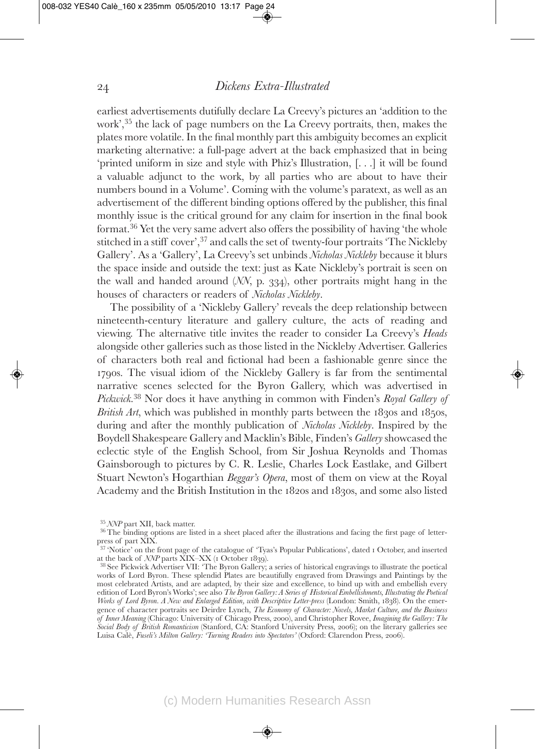earliest advertisements dutifully declare La Creevy's pictures an 'addition to the work',35 the lack of page numbers on the La Creevy portraits, then, makes the plates more volatile. In the final monthly part this ambiguity becomes an explicit marketing alternative: a full-page advert at the back emphasized that in being 'printed uniform in size and style with Phiz's Illustration, [. . .] it will be found a valuable adjunct to the work, by all parties who are about to have their numbers bound in a Volume'. Coming with the volume's paratext, as well as an advertisement of the different binding options offered by the publisher, this final monthly issue is the critical ground for any claim for insertion in the final book format.36 Yet the very same advert also offers the possibility of having 'the whole stitched in a stiff cover',37 and calls the set of twenty-four portraits 'The Nickleby Gallery'. As a 'Gallery', La Creevy's set unbinds *Nicholas Nickleby* because it blurs the space inside and outside the text: just as Kate Nickleby's portrait is seen on the wall and handed around (*NN*, p. 334), other portraits might hang in the houses of characters or readers of *Nicholas Nickleby*.

The possibility of a 'Nickleby Gallery' reveals the deep relationship between nineteenth-century literature and gallery culture, the acts of reading and viewing. The alternative title invites the reader to consider La Creevy's *Heads* alongside other galleries such as those listed in the Nickleby Advertiser. Galleries of characters both real and fictional had been a fashionable genre since the 1790s. The visual idiom of the Nickleby Gallery is far from the sentimental narrative scenes selected for the Byron Gallery, which was advertised in *Pickwick*. <sup>38</sup> Nor does it have anything in common with Finden's *Royal Gallery of British Art*, which was published in monthly parts between the 1830s and 1850s, during and after the monthly publication of *Nicholas Nickleby*. Inspired by the Boydell Shakespeare Gallery and Macklin's Bible, Finden's *Gallery* showcased the eclectic style of the English School, from Sir Joshua Reynolds and Thomas Gainsborough to pictures by C. R. Leslie, Charles Lock Eastlake, and Gilbert Stuart Newton's Hogarthian *Beggar's Opera*, most of them on view at the Royal Academy and the British Institution in the 1820s and 1830s, and some also listed

<sup>&</sup>lt;sup>35</sup> *NNP* part XII, back matter.<br><sup>36</sup> The binding options are listed in a sheet placed after the illustrations and facing the first page of letterpress of part XIX.

<sup>&</sup>lt;sup>37</sup> 'Notice' on the front page of the catalogue of 'Tyas's Popular Publications', dated 1 October, and inserted at the back of  $NNP$  parts XIX–XX (1 October 1839).

<sup>&</sup>lt;sup>38</sup> See Pickwick Advertiser VII: 'The Byron Gallery; a series of historical engravings to illustrate the poetical works of Lord Byron. These splendid Plates are beautifully engraved from Drawings and Paintings by the most celebrated Artists, and are adapted, by their size and excellence, to bind up with and embellish every edition of Lord Byron's Works'; see also *The Byron Gallery: A Series of Historical Embellishments, Illustrating the Poetical Works of Lord Byron. A New and Enlarged Edition, with Descriptive Letter-press* (London: Smith, 1838). On the emergence of character portraits see Deirdre Lynch, *The Economy of Character: Novels, Market Culture, and the Business of Inner Meaning* (Chicago: University of Chicago Press, 2000), and Christopher Rovee, *Imagining the Gallery: The Social Body of British Romanticism* (Stanford, CA: Stanford University Press, 2006); on the literary galleries see Luisa Calè, *Fuseli's Milton Gallery: 'Turning Readers into Spectators'* (Oxford: Clarendon Press, 2006).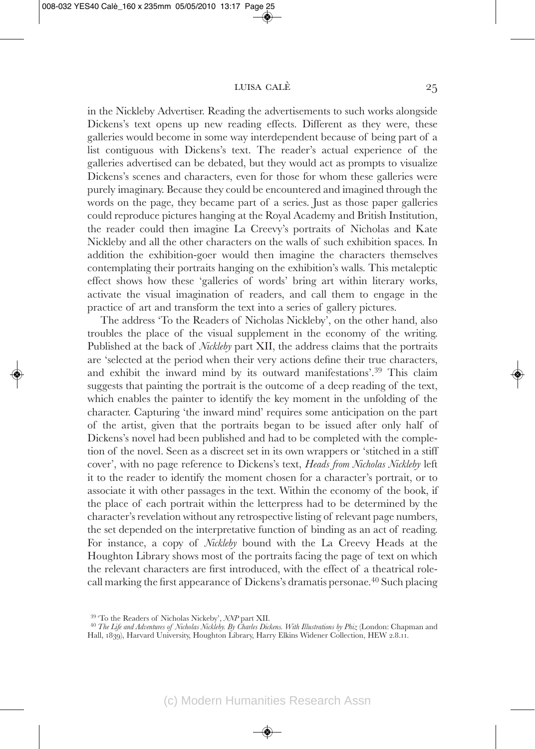in the Nickleby Advertiser. Reading the advertisements to such works alongside Dickens's text opens up new reading effects. Different as they were, these galleries would become in some way interdependent because of being part of a list contiguous with Dickens's text. The reader's actual experience of the galleries advertised can be debated, but they would act as prompts to visualize Dickens's scenes and characters, even for those for whom these galleries were purely imaginary. Because they could be encountered and imagined through the words on the page, they became part of a series. Just as those paper galleries could reproduce pictures hanging at the Royal Academy and British Institution, the reader could then imagine La Creevy's portraits of Nicholas and Kate Nickleby and all the other characters on the walls of such exhibition spaces. In addition the exhibition-goer would then imagine the characters themselves contemplating their portraits hanging on the exhibition's walls. This metaleptic effect shows how these 'galleries of words' bring art within literary works, activate the visual imagination of readers, and call them to engage in the practice of art and transform the text into a series of gallery pictures.

The address 'To the Readers of Nicholas Nickleby', on the other hand, also troubles the place of the visual supplement in the economy of the writing. Published at the back of *Nickleby* part XII, the address claims that the portraits are 'selected at the period when their very actions define their true characters, and exhibit the inward mind by its outward manifestations'.39 This claim suggests that painting the portrait is the outcome of a deep reading of the text, which enables the painter to identify the key moment in the unfolding of the character. Capturing 'the inward mind' requires some anticipation on the part of the artist, given that the portraits began to be issued after only half of Dickens's novel had been published and had to be completed with the completion of the novel. Seen as a discreet set in its own wrappers or 'stitched in a stiff cover', with no page reference to Dickens's text, *Heads from Nicholas Nickleby* left it to the reader to identify the moment chosen for a character's portrait, or to associate it with other passages in the text. Within the economy of the book, if the place of each portrait within the letterpress had to be determined by the character's revelation without any retrospective listing of relevant page numbers, the set depended on the interpretative function of binding as an act of reading. For instance, a copy of *Nickleby* bound with the La Creevy Heads at the Houghton Library shows most of the portraits facing the page of text on which the relevant characters are first introduced, with the effect of a theatrical rolecall marking the first appearance of Dickens's dramatis personae.40 Such placing

<sup>&</sup>lt;sup>39</sup> 'To the Readers of Nicholas Nickeby', *NNP* part XII.<br><sup>40</sup> *The Life and Adventures of Nicholas Nickleby. By Charles Dickens. With Illustrations by Phiz (London: Chapman and* Hall, 1839), Harvard University, Houghton Library, Harry Elkins Widener Collection, HEW 2.8.11.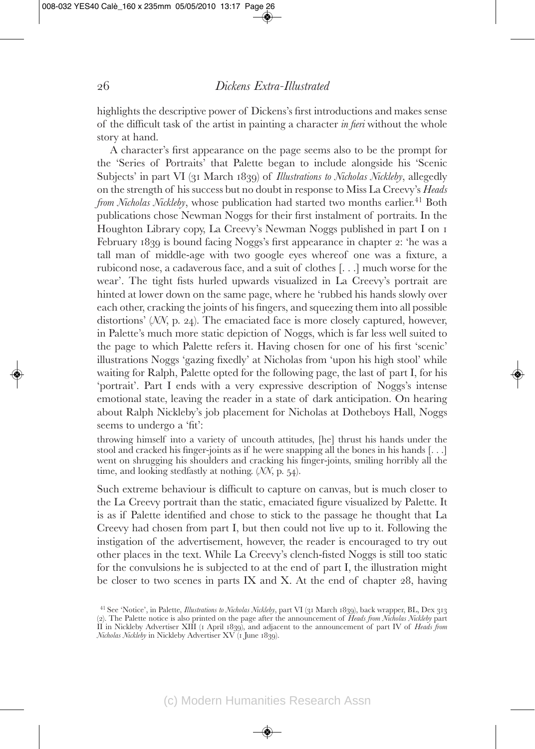highlights the descriptive power of Dickens's first introductions and makes sense of the difficult task of the artist in painting a character *in fieri* without the whole story at hand.

A character's first appearance on the page seems also to be the prompt for the 'Series of Portraits' that Palette began to include alongside his 'Scenic Subjects' in part VI (31 March 1839) of *Illustrations to Nicholas Nickleby*, allegedly on the strength of his success but no doubt in response to Miss La Creevy's *Heads from Nicholas Nickleby*, whose publication had started two months earlier.<sup>41</sup> Both publications chose Newman Noggs for their first instalment of portraits. In the Houghton Library copy, La Creevy's Newman Noggs published in part I on 1 February 1839 is bound facing Noggs's first appearance in chapter 2: 'he was a tall man of middle-age with two google eyes whereof one was a fixture, a rubicond nose, a cadaverous face, and a suit of clothes [. . .] much worse for the wear'. The tight fists hurled upwards visualized in La Creevy's portrait are hinted at lower down on the same page, where he 'rubbed his hands slowly over each other, cracking the joints of his fingers, and squeezing them into all possible distortions' (*NN*, p. 24). The emaciated face is more closely captured, however, in Palette's much more static depiction of Noggs, which is far less well suited to the page to which Palette refers it. Having chosen for one of his first 'scenic' illustrations Noggs 'gazing fixedly' at Nicholas from 'upon his high stool' while waiting for Ralph, Palette opted for the following page, the last of part I, for his 'portrait'. Part I ends with a very expressive description of Noggs's intense emotional state, leaving the reader in a state of dark anticipation. On hearing about Ralph Nickleby's job placement for Nicholas at Dotheboys Hall, Noggs seems to undergo a 'fit':

throwing himself into a variety of uncouth attitudes, [he] thrust his hands under the stool and cracked his finger-joints as if he were snapping all the bones in his hands [. . .] went on shrugging his shoulders and cracking his finger-joints, smiling horribly all the time, and looking stedfastly at nothing. (*NN*, p. 54).

Such extreme behaviour is difficult to capture on canvas, but is much closer to the La Creevy portrait than the static, emaciated figure visualized by Palette. It is as if Palette identified and chose to stick to the passage he thought that La Creevy had chosen from part I, but then could not live up to it. Following the instigation of the advertisement, however, the reader is encouraged to try out other places in the text. While La Creevy's clench-fisted Noggs is still too static for the convulsions he is subjected to at the end of part I, the illustration might be closer to two scenes in parts IX and X. At the end of chapter 28, having

<sup>41</sup> See 'Notice', in Palette, *Illustrations to Nicholas Nickleby*, part VI (31 March 1839), back wrapper, BL, Dex 313 (2). The Palette notice is also printed on the page after the announcement of *Heads from Nicholas Nickleby* part II in Nickleby Advertiser XIII (1 April 1839), and adjacent to the announcement of part IV of *Heads from Nicholas Nickleby* in Nickleby Advertiser XV (1 June 1839).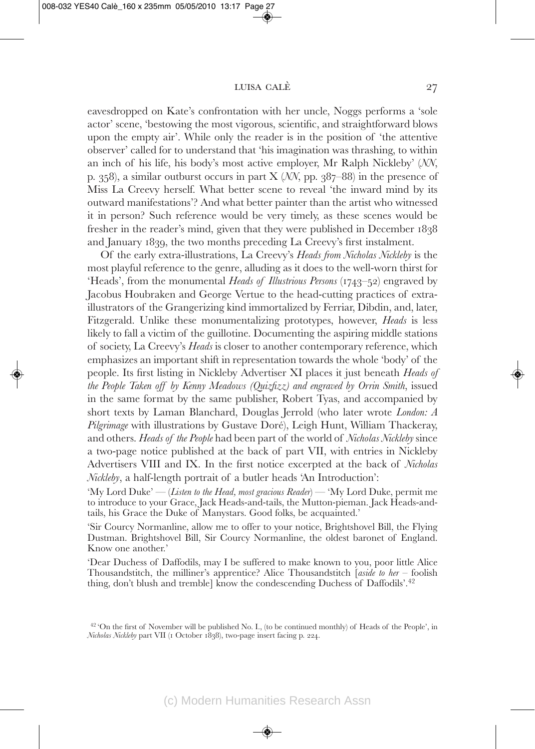eavesdropped on Kate's confrontation with her uncle, Noggs performs a 'sole actor' scene, 'bestowing the most vigorous, scientific, and straightforward blows upon the empty air'. While only the reader is in the position of 'the attentive observer' called for to understand that 'his imagination was thrashing, to within an inch of his life, his body's most active employer, Mr Ralph Nickleby' (*NN*, p. 358), a similar outburst occurs in part X (*NN*, pp. 387–88) in the presence of Miss La Creevy herself. What better scene to reveal 'the inward mind by its outward manifestations'? And what better painter than the artist who witnessed it in person? Such reference would be very timely, as these scenes would be fresher in the reader's mind, given that they were published in December 1838 and January 1839, the two months preceding La Creevy's first instalment.

Of the early extra-illustrations, La Creevy's *Heads from Nicholas Nickleby* is the most playful reference to the genre, alluding as it does to the well-worn thirst for 'Heads', from the monumental *Heads of Illustrious Persons* (1743–52) engraved by Jacobus Houbraken and George Vertue to the head-cutting practices of extraillustrators of the Grangerizing kind immortalized by Ferriar, Dibdin, and, later, Fitzgerald. Unlike these monumentalizing prototypes, however, *Heads* is less likely to fall a victim of the guillotine. Documenting the aspiring middle stations of society, La Creevy's *Heads* is closer to another contemporary reference, which emphasizes an important shift in representation towards the whole 'body' of the people. Its first listing in Nickleby Advertiser XI places it just beneath *Heads of the People Taken off by Kenny Meadows (Quizfizz) and engraved by Orrin Smith*, issued in the same format by the same publisher, Robert Tyas, and accompanied by short texts by Laman Blanchard, Douglas Jerrold (who later wrote *London: A Pilgrimage* with illustrations by Gustave Doré), Leigh Hunt, William Thackeray, and others. *Heads of the People* had been part of the world of *Nicholas Nickleby* since a two-page notice published at the back of part VII, with entries in Nickleby Advertisers VIII and IX. In the first notice excerpted at the back of *Nicholas Nickleby*, a half-length portrait of a butler heads 'An Introduction':

'My Lord Duke' — (*Listen to the Head, most gracious Reader*) — 'My Lord Duke, permit me to introduce to your Grace, Jack Heads-and-tails, the Mutton-pieman. Jack Heads-andtails, his Grace the Duke of Manystars. Good folks, be acquainted.'

'Sir Courcy Normanline, allow me to offer to your notice, Brightshovel Bill, the Flying Dustman. Brightshovel Bill, Sir Courcy Normanline, the oldest baronet of England. Know one another.'

'Dear Duchess of Daffodils, may I be suffered to make known to you, poor little Alice Thousandstitch, the milliner's apprentice? Alice Thousandstitch [*aside to her* – foolish thing, don't blush and tremble] know the condescending Duchess of Daffodils'.<sup>42</sup>

 $42$  'On the first of November will be published No. I., (to be continued monthly) of Heads of the People', in *Nicholas Nickleby* part VII (1 October 1838), two-page insert facing p. 224.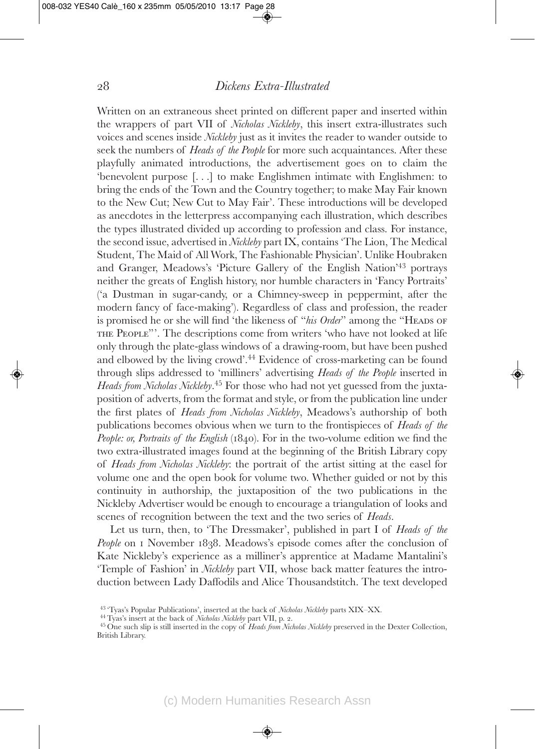Written on an extraneous sheet printed on different paper and inserted within the wrappers of part VII of *Nicholas Nickleby*, this insert extra-illustrates such voices and scenes inside *Nickleby* just as it invites the reader to wander outside to seek the numbers of *Heads of the People* for more such acquaintances. After these playfully animated introductions, the advertisement goes on to claim the 'benevolent purpose [. . .] to make Englishmen intimate with Englishmen: to bring the ends of the Town and the Country together; to make May Fair known to the New Cut; New Cut to May Fair'. These introductions will be developed as anecdotes in the letterpress accompanying each illustration, which describes the types illustrated divided up according to profession and class. For instance, the second issue, advertised in *Nickleby* part IX, contains 'The Lion, The Medical Student, The Maid of All Work, The Fashionable Physician'. Unlike Houbraken and Granger, Meadows's 'Picture Gallery of the English Nation'43 portrays neither the greats of English history, nor humble characters in 'Fancy Portraits' ('a Dustman in sugar-candy, or a Chimney-sweep in peppermint, after the modern fancy of face-making'). Regardless of class and profession, the reader is promised he or she will find 'the likeness of "*his Order*" among the "HEADS OF the People"'. The descriptions come from writers 'who have not looked at life only through the plate-glass windows of a drawing-room, but have been pushed and elbowed by the living crowd'.44 Evidence of cross-marketing can be found through slips addressed to 'milliners' advertising *Heads of the People* inserted in *Heads from Nicholas Nickleby*. <sup>45</sup> For those who had not yet guessed from the juxtaposition of adverts, from the format and style, or from the publication line under the first plates of *Heads from Nicholas Nickleby*, Meadows's authorship of both publications becomes obvious when we turn to the frontispieces of *Heads of the People: or, Portraits of the English* (1840). For in the two-volume edition we find the two extra-illustrated images found at the beginning of the British Library copy of *Heads from Nicholas Nickleby*: the portrait of the artist sitting at the easel for volume one and the open book for volume two. Whether guided or not by this continuity in authorship, the juxtaposition of the two publications in the Nickleby Advertiser would be enough to encourage a triangulation of looks and scenes of recognition between the text and the two series of *Heads*.

Let us turn, then, to 'The Dressmaker', published in part I of *Heads of the* People on 1 November 1838. Meadows's episode comes after the conclusion of Kate Nickleby's experience as a milliner's apprentice at Madame Mantalini's 'Temple of Fashion' in *Nickleby* part VII, whose back matter features the introduction between Lady Daffodils and Alice Thousandstitch. The text developed

<sup>&</sup>lt;sup>43</sup> "Tyas's Popular Publications', inserted at the back of *Nicholas Nickleby* parts XIX–XX.<br><sup>44</sup> Tyas's insert at the back of *Nicholas Nickleby* part VII, p. 2.<br><sup>45</sup> One such slip is still inserted in the copy of *Head* 

British Library.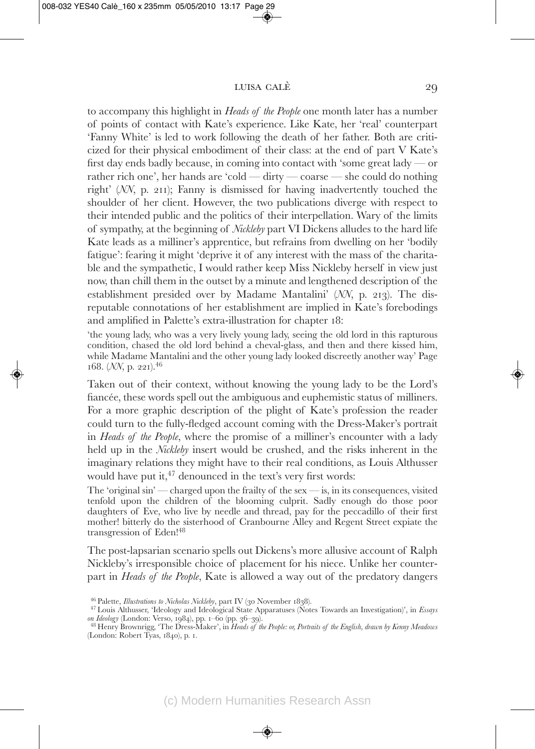to accompany this highlight in *Heads of the People* one month later has a number of points of contact with Kate's experience. Like Kate, her 'real' counterpart 'Fanny White' is led to work following the death of her father. Both are criticized for their physical embodiment of their class: at the end of part V Kate's first day ends badly because, in coming into contact with 'some great lady — or rather rich one', her hands are 'cold — dirty — coarse — she could do nothing right' (*NN*, p. 211); Fanny is dismissed for having inadvertently touched the shoulder of her client. However, the two publications diverge with respect to their intended public and the politics of their interpellation. Wary of the limits of sympathy, at the beginning of *Nickleby* part VI Dickens alludes to the hard life Kate leads as a milliner's apprentice, but refrains from dwelling on her 'bodily fatigue': fearing it might 'deprive it of any interest with the mass of the charitable and the sympathetic, I would rather keep Miss Nickleby herself in view just now, than chill them in the outset by a minute and lengthened description of the establishment presided over by Madame Mantalini' (NN, p. 213). The disreputable connotations of her establishment are implied in Kate's forebodings and amplified in Palette's extra-illustration for chapter 18:

'the young lady, who was a very lively young lady, seeing the old lord in this rapturous condition, chased the old lord behind a cheval-glass, and then and there kissed him, while Madame Mantalini and the other young lady looked discreetly another way' Page 168. (*NN*, p. 221).46

Taken out of their context, without knowing the young lady to be the Lord's fiancée, these words spell out the ambiguous and euphemistic status of milliners. For a more graphic description of the plight of Kate's profession the reader could turn to the fully-fledged account coming with the Dress-Maker's portrait in *Heads of the People*, where the promise of a milliner's encounter with a lady held up in the *Nickleby* insert would be crushed, and the risks inherent in the imaginary relations they might have to their real conditions, as Louis Althusser would have put it,  $47$  denounced in the text's very first words:

The 'original  $\sin$  — charged upon the frailty of the sex — is, in its consequences, visited tenfold upon the children of the blooming culprit. Sadly enough do those poor daughters of Eve, who live by needle and thread, pay for the peccadillo of their first mother! bitterly do the sisterhood of Cranbourne Alley and Regent Street expiate the transgression of Eden!48

The post-lapsarian scenario spells out Dickens's more allusive account of Ralph Nickleby's irresponsible choice of placement for his niece. Unlike her counterpart in *Heads of the People*, Kate is allowed a way out of the predatory dangers

<sup>46</sup> Palette, *Illustrations to Nicholas Nickleby*, part IV (<sup>30</sup> November 1838). <sup>47</sup> Louis Althusser, 'Ideology and Ideological State Apparatuses (Notes Towards an Investigation)', in *Essays*

<sup>&</sup>lt;sup>48</sup> Henry Brownrigg, 'The Dress-Maker', in *Heads of the People: or, Portraits of the English, drawn by Kenny Meadows* (London: Robert Tyas, 1840), p. 1.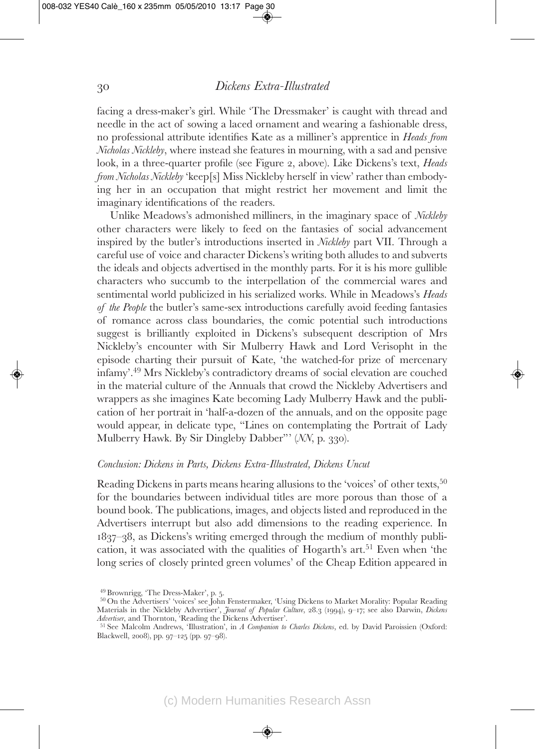facing a dress-maker's girl. While 'The Dressmaker' is caught with thread and needle in the act of sowing a laced ornament and wearing a fashionable dress, no professional attribute identifies Kate as a milliner's apprentice in *Heads from Nicholas Nickleby*, where instead she features in mourning, with a sad and pensive look, in a three-quarter profile (see Figure 2, above). Like Dickens's text, *Heads from Nicholas Nickleby* 'keep[s] Miss Nickleby herself in view' rather than embodying her in an occupation that might restrict her movement and limit the imaginary identifications of the readers.

Unlike Meadows's admonished milliners, in the imaginary space of *Nickleby* other characters were likely to feed on the fantasies of social advancement inspired by the butler's introductions inserted in *Nickleby* part VII. Through a careful use of voice and character Dickens's writing both alludes to and subverts the ideals and objects advertised in the monthly parts. For it is his more gullible characters who succumb to the interpellation of the commercial wares and sentimental world publicized in his serialized works. While in Meadows's *Heads of the People* the butler's same-sex introductions carefully avoid feeding fantasies of romance across class boundaries, the comic potential such introductions suggest is brilliantly exploited in Dickens's subsequent description of Mrs Nickleby's encounter with Sir Mulberry Hawk and Lord Verisopht in the episode charting their pursuit of Kate, 'the watched-for prize of mercenary infamy'.49 Mrs Nickleby's contradictory dreams of social elevation are couched in the material culture of the Annuals that crowd the Nickleby Advertisers and wrappers as she imagines Kate becoming Lady Mulberry Hawk and the publication of her portrait in 'half-a-dozen of the annuals, and on the opposite page would appear, in delicate type, "Lines on contemplating the Portrait of Lady Mulberry Hawk. By Sir Dingleby Dabber"' (*NN*, p. 330).

#### *Conclusion: Dickens in Parts, Dickens Extra-Illustrated, Dickens Uncut*

Reading Dickens in parts means hearing allusions to the 'voices' of other texts,<sup>50</sup> for the boundaries between individual titles are more porous than those of a bound book. The publications, images, and objects listed and reproduced in the Advertisers interrupt but also add dimensions to the reading experience. In 1837–38, as Dickens's writing emerged through the medium of monthly publication, it was associated with the qualities of Hogarth's  $art<sup>51</sup>$  Even when 'the long series of closely printed green volumes' of the Cheap Edition appeared in

 $^{49}$  Brownrigg, 'The Dress-Maker', p. 5.<br> $^{50}\rm{On}$  the Advertisers' 'voices' see John Fenstermaker, 'Using Dickens to Market Morality: Popular Reading Materials in the Nickleby Advertiser', *Journal of Popular Culture*, 28.3 (1994), 9–17; see also Darwin, *Dickens*

<sup>&</sup>lt;sup>51</sup> See Malcolm Andrews, 'Illustration', in *A Companion to Charles Dickens*, ed. by David Paroissien (Oxford: Blackwell, 2008), pp. 97–125 (pp. 97–98).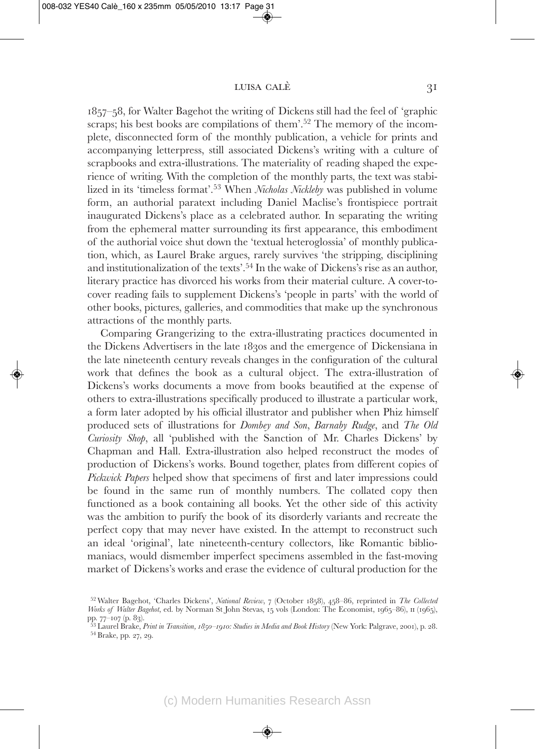1857–58, for Walter Bagehot the writing of Dickens still had the feel of 'graphic scraps; his best books are compilations of them'.<sup>52</sup> The memory of the incomplete, disconnected form of the monthly publication, a vehicle for prints and accompanying letterpress, still associated Dickens's writing with a culture of scrapbooks and extra-illustrations. The materiality of reading shaped the experience of writing. With the completion of the monthly parts, the text was stabilized in its 'timeless format'.53 When *Nicholas Nickleby* was published in volume form, an authorial paratext including Daniel Maclise's frontispiece portrait inaugurated Dickens's place as a celebrated author. In separating the writing from the ephemeral matter surrounding its first appearance, this embodiment of the authorial voice shut down the 'textual heteroglossia' of monthly publication, which, as Laurel Brake argues, rarely survives 'the stripping, disciplining and institutionalization of the texts'.54 In the wake of Dickens's rise as an author, literary practice has divorced his works from their material culture. A cover-tocover reading fails to supplement Dickens's 'people in parts' with the world of other books, pictures, galleries, and commodities that make up the synchronous attractions of the monthly parts.

Comparing Grangerizing to the extra-illustrating practices documented in the Dickens Advertisers in the late 1830s and the emergence of Dickensiana in the late nineteenth century reveals changes in the configuration of the cultural work that defines the book as a cultural object. The extra-illustration of Dickens's works documents a move from books beautified at the expense of others to extra-illustrations specifically produced to illustrate a particular work, a form later adopted by his official illustrator and publisher when Phiz himself produced sets of illustrations for *Dombey and Son*, *Barnaby Rudge*, and *The Old Curiosity Shop*, all 'published with the Sanction of Mr. Charles Dickens' by Chapman and Hall. Extra-illustration also helped reconstruct the modes of production of Dickens's works. Bound together, plates from different copies of *Pickwick Papers* helped show that specimens of first and later impressions could be found in the same run of monthly numbers. The collated copy then functioned as a book containing all books. Yet the other side of this activity was the ambition to purify the book of its disorderly variants and recreate the perfect copy that may never have existed. In the attempt to reconstruct such an ideal 'original', late nineteenth-century collectors, like Romantic bibliomaniacs, would dismember imperfect specimens assembled in the fast-moving market of Dickens's works and erase the evidence of cultural production for the

<sup>52</sup> Walter Bagehot, 'Charles Dickens', *National Review*, 7 (October 1858), 458–86, reprinted in *The Collected Works of Walter Bagehot*, ed. by Norman St John Stevas, 15 vols (London: The Economist, 1965–86), II (1965),

pp. 77–<sup>107</sup> (p. 83). <sup>53</sup> Laurel Brake, *Print in Transition, 1850–1910: Studies in Media and Book History* (New York: Palgrave, 2001), p. 28. <sup>54</sup> Brake, pp. 27, 29.